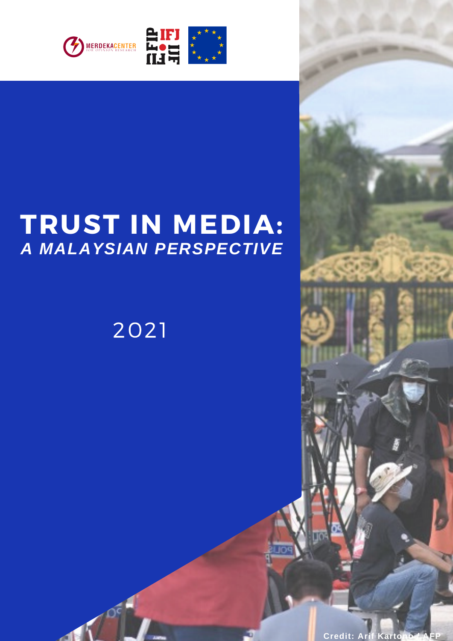

# 

## **TRUST IN MEDIA:** *A MALAYSIAN PERSPECTIVE*

## 2021

**Credit: Arif Kar**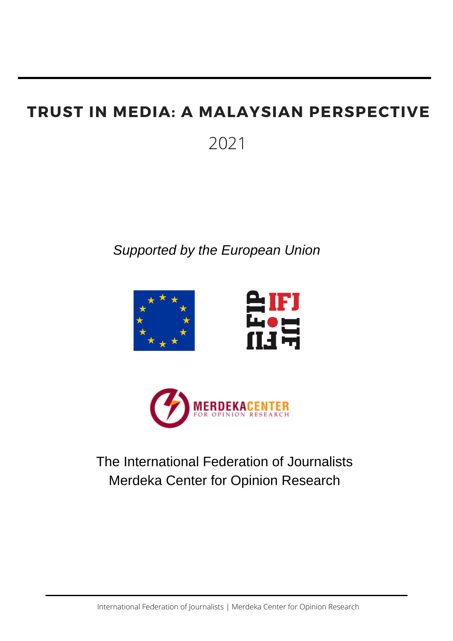### **TRUST IN MEDIA: A MALAYSIAN PERSPECTIVE**

2021

*Supported by the European Union*





The International Federation of Journalists Merdeka Center for Opinion Research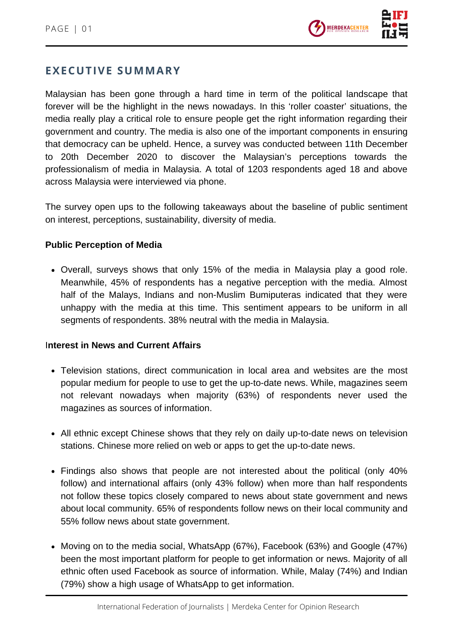#### **EXECUTIVE SUMMARY**

Malaysian has been gone through a hard time in term of the political landscape that forever will be the highlight in the news nowadays. In this 'roller coaster' situations, the media really play a critical role to ensure people get the right information regarding their government and country. The media is also one of the important components in ensuring that democracy can be upheld. Hence, a survey was conducted between 11th December to 20th December 2020 to discover the Malaysian's perceptions towards the professionalism of media in Malaysia. A total of 1203 respondents aged 18 and above across Malaysia were interviewed via phone.

The survey open ups to the following takeaways about the baseline of public sentiment on interest, perceptions, sustainability, diversity of media.

#### **Public Perception of Media**

Overall, surveys shows that only 15% of the media in Malaysia play a good role. Meanwhile, 45% of respondents has a negative perception with the media. Almost half of the Malays, Indians and non-Muslim Bumiputeras indicated that they were unhappy with the media at this time. This sentiment appears to be uniform in all segments of respondents. 38% neutral with the media in Malaysia.

#### I**nterest in News and Current Affairs**

- Television stations, direct communication in local area and websites are the most popular medium for people to use to get the up-to-date news. While, magazines seem not relevant nowadays when majority (63%) of respondents never used the magazines as sources of information.
- All ethnic except Chinese shows that they rely on daily up-to-date news on television stations. Chinese more relied on web or apps to get the up-to-date news.
- Findings also shows that people are not interested about the political (only 40% follow) and international affairs (only 43% follow) when more than half respondents not follow these topics closely compared to news about state government and news about local community. 65% of respondents follow news on their local community and 55% follow news about state government.
- Moving on to the media social, WhatsApp (67%), Facebook (63%) and Google (47%) been the most important platform for people to get information or news. Majority of all ethnic often used Facebook as source of information. While, Malay (74%) and Indian (79%) show a high usage of WhatsApp to get information.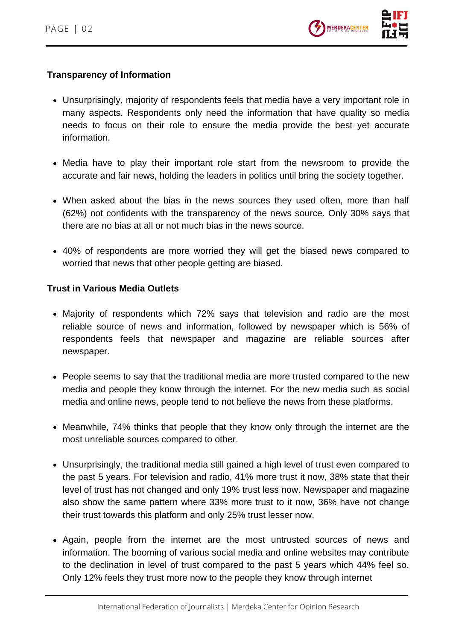#### **Transparency of Information**

- Unsurprisingly, majority of respondents feels that media have a very important role in many aspects. Respondents only need the information that have quality so media needs to focus on their role to ensure the media provide the best yet accurate information.
- Media have to play their important role start from the newsroom to provide the accurate and fair news, holding the leaders in politics until bring the society together.
- When asked about the bias in the news sources they used often, more than half (62%) not confidents with the transparency of the news source. Only 30% says that there are no bias at all or not much bias in the news source.
- 40% of respondents are more worried they will get the biased news compared to worried that news that other people getting are biased.

#### **Trust in Various Media Outlets**

- Majority of respondents which 72% says that television and radio are the most reliable source of news and information, followed by newspaper which is 56% of respondents feels that newspaper and magazine are reliable sources after newspaper.
- People seems to say that the traditional media are more trusted compared to the new media and people they know through the internet. For the new media such as social media and online news, people tend to not believe the news from these platforms.
- Meanwhile, 74% thinks that people that they know only through the internet are the most unreliable sources compared to other.
- Unsurprisingly, the traditional media still gained a high level of trust even compared to the past 5 years. For television and radio, 41% more trust it now, 38% state that their level of trust has not changed and only 19% trust less now. Newspaper and magazine also show the same pattern where 33% more trust to it now, 36% have not change their trust towards this platform and only 25% trust lesser now.
- Again, people from the internet are the most untrusted sources of news and information. The booming of various social media and online websites may contribute to the declination in level of trust compared to the past 5 years which 44% feel so. Only 12% feels they trust more now to the people they know through internet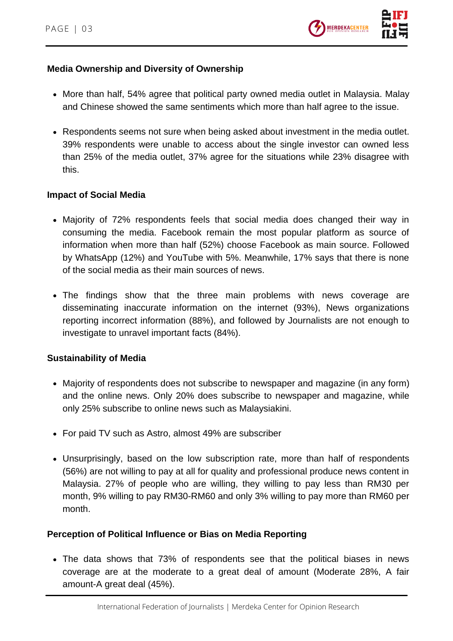#### **Media Ownership and Diversity of Ownership**

- More than half, 54% agree that political party owned media outlet in Malaysia. Malay and Chinese showed the same sentiments which more than half agree to the issue.
- Respondents seems not sure when being asked about investment in the media outlet. 39% respondents were unable to access about the single investor can owned less than 25% of the media outlet, 37% agree for the situations while 23% disagree with this.

#### **Impact of Social Media**

- Majority of 72% respondents feels that social media does changed their way in consuming the media. Facebook remain the most popular platform as source of information when more than half (52%) choose Facebook as main source. Followed by WhatsApp (12%) and YouTube with 5%. Meanwhile, 17% says that there is none of the social media as their main sources of news.
- The findings show that the three main problems with news coverage are disseminating inaccurate information on the internet (93%), News organizations reporting incorrect information (88%), and followed by Journalists are not enough to investigate to unravel important facts (84%).

#### **Sustainability of Media**

- Majority of respondents does not subscribe to newspaper and magazine (in any form) and the online news. Only 20% does subscribe to newspaper and magazine, while only 25% subscribe to online news such as Malaysiakini.
- For paid TV such as Astro, almost 49% are subscriber
- Unsurprisingly, based on the low subscription rate, more than half of respondents (56%) are not willing to pay at all for quality and professional produce news content in Malaysia. 27% of people who are willing, they willing to pay less than RM30 per month, 9% willing to pay RM30-RM60 and only 3% willing to pay more than RM60 per month.

#### **Perception of Political Influence or Bias on Media Reporting**

The data shows that 73% of respondents see that the political biases in news coverage are at the moderate to a great deal of amount (Moderate 28%, A fair amount-A great deal (45%).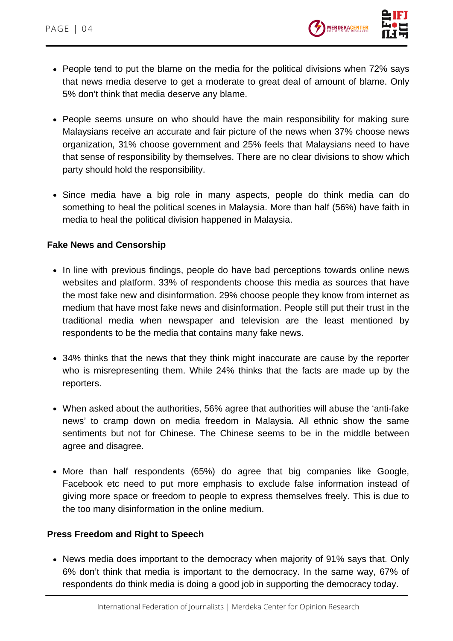- People tend to put the blame on the media for the political divisions when 72% says that news media deserve to get a moderate to great deal of amount of blame. Only 5% don't think that media deserve any blame.
- People seems unsure on who should have the main responsibility for making sure Malaysians receive an accurate and fair picture of the news when 37% choose news organization, 31% choose government and 25% feels that Malaysians need to have that sense of responsibility by themselves. There are no clear divisions to show which party should hold the responsibility.
- Since media have a big role in many aspects, people do think media can do something to heal the political scenes in Malaysia. More than half (56%) have faith in media to heal the political division happened in Malaysia.

#### **Fake News and Censorship**

- In line with previous findings, people do have bad perceptions towards online news websites and platform. 33% of respondents choose this media as sources that have the most fake new and disinformation. 29% choose people they know from internet as medium that have most fake news and disinformation. People still put their trust in the traditional media when newspaper and television are the least mentioned by respondents to be the media that contains many fake news.
- 34% thinks that the news that they think might inaccurate are cause by the reporter who is misrepresenting them. While 24% thinks that the facts are made up by the reporters.
- When asked about the authorities, 56% agree that authorities will abuse the 'anti-fake news' to cramp down on media freedom in Malaysia. All ethnic show the same sentiments but not for Chinese. The Chinese seems to be in the middle between agree and disagree.
- More than half respondents (65%) do agree that big companies like Google, Facebook etc need to put more emphasis to exclude false information instead of giving more space or freedom to people to express themselves freely. This is due to the too many disinformation in the online medium.

#### **Press Freedom and Right to Speech**

• News media does important to the democracy when majority of 91% says that. Only 6% don't think that media is important to the democracy. In the same way, 67% of respondents do think media is doing a good job in supporting the democracy today.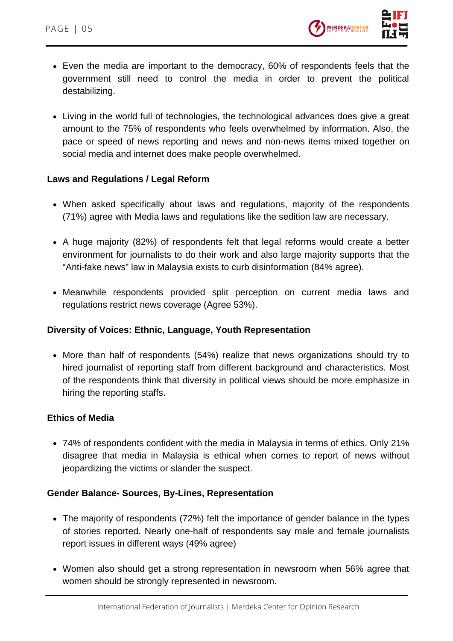- Even the media are important to the democracy, 60% of respondents feels that the government still need to control the media in order to prevent the political destabilizing.
- Living in the world full of technologies, the technological advances does give a great amount to the 75% of respondents who feels overwhelmed by information. Also, the pace or speed of news reporting and news and non-news items mixed together on social media and internet does make people overwhelmed.

#### **Laws and Regulations / Legal Reform**

- When asked specifically about laws and regulations, majority of the respondents (71%) agree with Media laws and regulations like the sedition law are necessary.
- A huge majority (82%) of respondents felt that legal reforms would create a better environment for journalists to do their work and also large majority supports that the "Anti-fake news" law in Malaysia exists to curb disinformation (84% agree).
- Meanwhile respondents provided split perception on current media laws and regulations restrict news coverage (Agree 53%).

#### **Diversity of Voices: Ethnic, Language, Youth Representation**

More than half of respondents (54%) realize that news organizations should try to hired journalist of reporting staff from different background and characteristics. Most of the respondents think that diversity in political views should be more emphasize in hiring the reporting staffs.

#### **Ethics of Media**

74% of respondents confident with the media in Malaysia in terms of ethics. Only 21% disagree that media in Malaysia is ethical when comes to report of news without jeopardizing the victims or slander the suspect.

#### **Gender Balance- Sources, By-Lines, Representation**

- The majority of respondents (72%) felt the importance of gender balance in the types of stories reported. Nearly one-half of respondents say male and female journalists report issues in different ways (49% agree)
- Women also should get a strong representation in newsroom when 56% agree that women should be strongly represented in newsroom.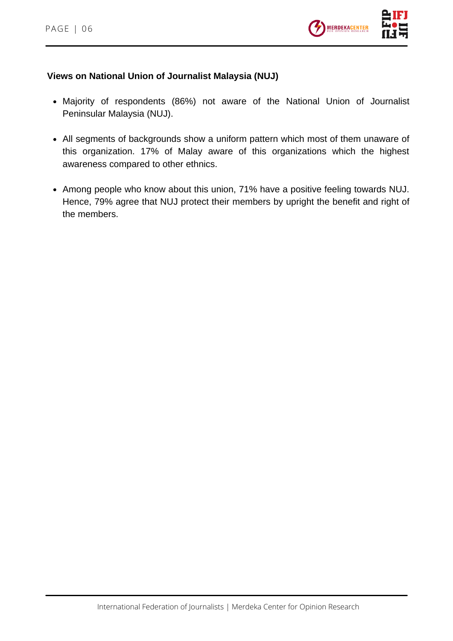

#### **Views on National Union of Journalist Malaysia (NUJ)**

- Majority of respondents (86%) not aware of the National Union of Journalist Peninsular Malaysia (NUJ).
- All segments of backgrounds show a uniform pattern which most of them unaware of this organization. 17% of Malay aware of this organizations which the highest awareness compared to other ethnics.
- Among people who know about this union, 71% have a positive feeling towards NUJ. Hence, 79% agree that NUJ protect their members by upright the benefit and right of the members.